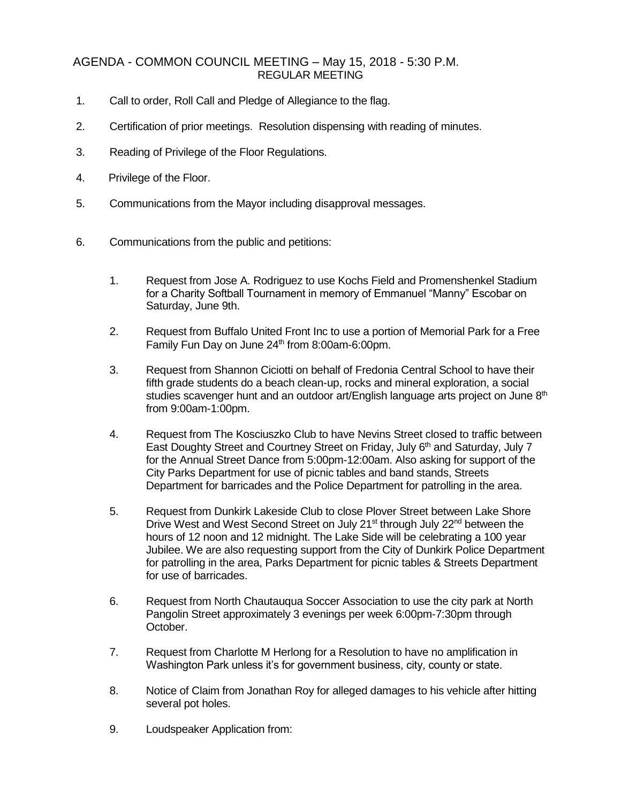## AGENDA - COMMON COUNCIL MEETING – May 15, 2018 - 5:30 P.M. REGULAR MEETING

- 1. Call to order, Roll Call and Pledge of Allegiance to the flag.
- 2. Certification of prior meetings. Resolution dispensing with reading of minutes.
- 3. Reading of Privilege of the Floor Regulations.
- 4. Privilege of the Floor.
- 5. Communications from the Mayor including disapproval messages.
- 6. Communications from the public and petitions:
	- 1. Request from Jose A. Rodriguez to use Kochs Field and Promenshenkel Stadium for a Charity Softball Tournament in memory of Emmanuel "Manny" Escobar on Saturday, June 9th.
	- 2. Request from Buffalo United Front Inc to use a portion of Memorial Park for a Free Family Fun Day on June 24<sup>th</sup> from 8:00am-6:00pm.
	- 3. Request from Shannon Ciciotti on behalf of Fredonia Central School to have their fifth grade students do a beach clean-up, rocks and mineral exploration, a social studies scavenger hunt and an outdoor art/English language arts project on June 8<sup>th</sup> from 9:00am-1:00pm.
	- 4. Request from The Kosciuszko Club to have Nevins Street closed to traffic between East Doughty Street and Courtney Street on Friday, July  $6<sup>th</sup>$  and Saturday, July 7 for the Annual Street Dance from 5:00pm-12:00am. Also asking for support of the City Parks Department for use of picnic tables and band stands, Streets Department for barricades and the Police Department for patrolling in the area.
	- 5. Request from Dunkirk Lakeside Club to close Plover Street between Lake Shore Drive West and West Second Street on July 21<sup>st</sup> through July 22<sup>nd</sup> between the hours of 12 noon and 12 midnight. The Lake Side will be celebrating a 100 year Jubilee. We are also requesting support from the City of Dunkirk Police Department for patrolling in the area, Parks Department for picnic tables & Streets Department for use of barricades.
	- 6. Request from North Chautauqua Soccer Association to use the city park at North Pangolin Street approximately 3 evenings per week 6:00pm-7:30pm through October.
	- 7. Request from Charlotte M Herlong for a Resolution to have no amplification in Washington Park unless it's for government business, city, county or state.
	- 8. Notice of Claim from Jonathan Roy for alleged damages to his vehicle after hitting several pot holes.
	- 9. Loudspeaker Application from: